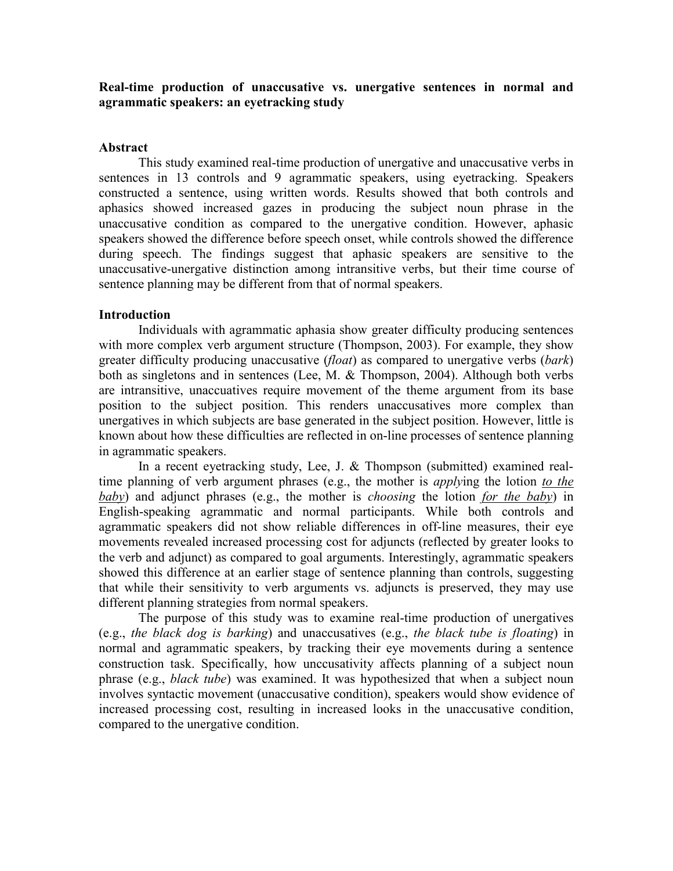# **Real-time production of unaccusative vs. unergative sentences in normal and agrammatic speakers: an eyetracking study**

### **Abstract**

 This study examined real-time production of unergative and unaccusative verbs in sentences in 13 controls and 9 agrammatic speakers, using eyetracking. Speakers constructed a sentence, using written words. Results showed that both controls and aphasics showed increased gazes in producing the subject noun phrase in the unaccusative condition as compared to the unergative condition. However, aphasic speakers showed the difference before speech onset, while controls showed the difference during speech. The findings suggest that aphasic speakers are sensitive to the unaccusative-unergative distinction among intransitive verbs, but their time course of sentence planning may be different from that of normal speakers.

### **Introduction**

Individuals with agrammatic aphasia show greater difficulty producing sentences with more complex verb argument structure (Thompson, 2003). For example, they show greater difficulty producing unaccusative (*float*) as compared to unergative verbs (*bark*) both as singletons and in sentences (Lee, M. & Thompson, 2004). Although both verbs are intransitive, unaccuatives require movement of the theme argument from its base position to the subject position. This renders unaccusatives more complex than unergatives in which subjects are base generated in the subject position. However, little is known about how these difficulties are reflected in on-line processes of sentence planning in agrammatic speakers.

In a recent eyetracking study, Lee, J. & Thompson (submitted) examined realtime planning of verb argument phrases (e.g., the mother is *apply*ing the lotion *to the baby*) and adjunct phrases (e.g., the mother is *choosing* the lotion *for the baby*) in English-speaking agrammatic and normal participants. While both controls and agrammatic speakers did not show reliable differences in off-line measures, their eye movements revealed increased processing cost for adjuncts (reflected by greater looks to the verb and adjunct) as compared to goal arguments. Interestingly, agrammatic speakers showed this difference at an earlier stage of sentence planning than controls, suggesting that while their sensitivity to verb arguments vs. adjuncts is preserved, they may use different planning strategies from normal speakers.

The purpose of this study was to examine real-time production of unergatives (e.g., *the black dog is barking*) and unaccusatives (e.g., *the black tube is floating*) in normal and agrammatic speakers, by tracking their eye movements during a sentence construction task. Specifically, how unccusativity affects planning of a subject noun phrase (e.g., *black tube*) was examined. It was hypothesized that when a subject noun involves syntactic movement (unaccusative condition), speakers would show evidence of increased processing cost, resulting in increased looks in the unaccusative condition, compared to the unergative condition.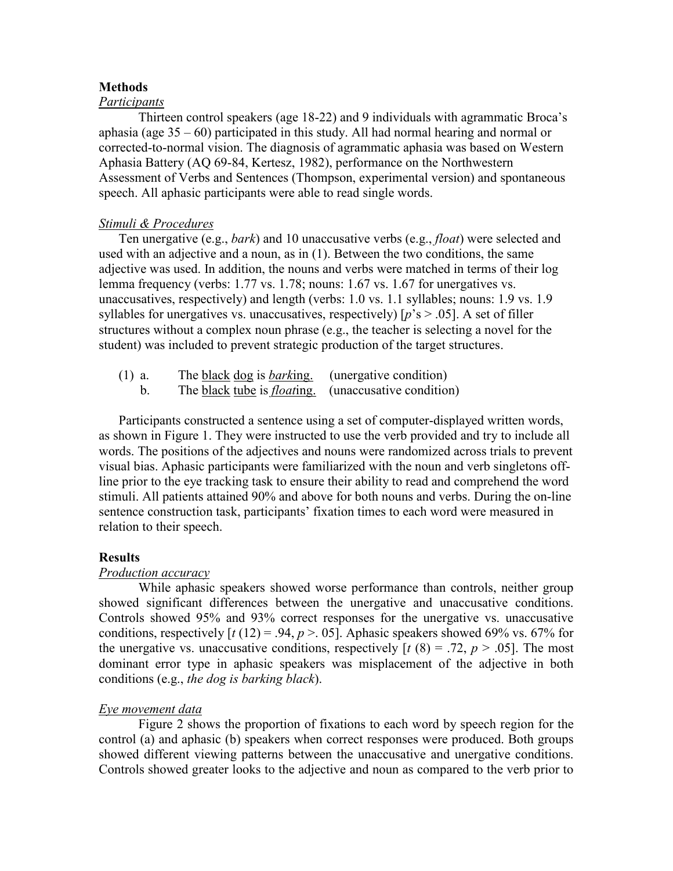### **Methods**

### *Participants*

Thirteen control speakers (age 18-22) and 9 individuals with agrammatic Broca's aphasia (age 35 – 60) participated in this study. All had normal hearing and normal or corrected-to-normal vision. The diagnosis of agrammatic aphasia was based on Western Aphasia Battery (AQ 69-84, Kertesz, 1982), performance on the Northwestern Assessment of Verbs and Sentences (Thompson, experimental version) and spontaneous speech. All aphasic participants were able to read single words.

### *Stimuli & Procedures*

Ten unergative (e.g., *bark*) and 10 unaccusative verbs (e.g., *float*) were selected and used with an adjective and a noun, as in (1). Between the two conditions, the same adjective was used. In addition, the nouns and verbs were matched in terms of their log lemma frequency (verbs: 1.77 vs. 1.78; nouns: 1.67 vs. 1.67 for unergatives vs. unaccusatives, respectively) and length (verbs: 1.0 vs. 1.1 syllables; nouns: 1.9 vs. 1.9 syllables for unergatives vs. unaccusatives, respectively)  $[p's > .05]$ . A set of filler structures without a complex noun phrase (e.g., the teacher is selecting a novel for the student) was included to prevent strategic production of the target structures.

| $(1)$ a. | The black dog is <i>barking</i> .                                   | (unergative condition) |
|----------|---------------------------------------------------------------------|------------------------|
|          | The <u>black tube</u> is <i>floating</i> . (unaccusative condition) |                        |

Participants constructed a sentence using a set of computer-displayed written words, as shown in Figure 1. They were instructed to use the verb provided and try to include all words. The positions of the adjectives and nouns were randomized across trials to prevent visual bias. Aphasic participants were familiarized with the noun and verb singletons offline prior to the eye tracking task to ensure their ability to read and comprehend the word stimuli. All patients attained 90% and above for both nouns and verbs. During the on-line sentence construction task, participants' fixation times to each word were measured in relation to their speech.

## **Results**

### *Production accuracy*

While aphasic speakers showed worse performance than controls, neither group showed significant differences between the unergative and unaccusative conditions. Controls showed 95% and 93% correct responses for the unergative vs. unaccusative conditions, respectively  $[t(12) = .94, p > .05]$ . Aphasic speakers showed 69% vs. 67% for the unergative vs. unaccusative conditions, respectively  $[t (8) = .72, p > .05]$ . The most dominant error type in aphasic speakers was misplacement of the adjective in both conditions (e.g., *the dog is barking black*).

### *Eye movement data*

Figure 2 shows the proportion of fixations to each word by speech region for the control (a) and aphasic (b) speakers when correct responses were produced. Both groups showed different viewing patterns between the unaccusative and unergative conditions. Controls showed greater looks to the adjective and noun as compared to the verb prior to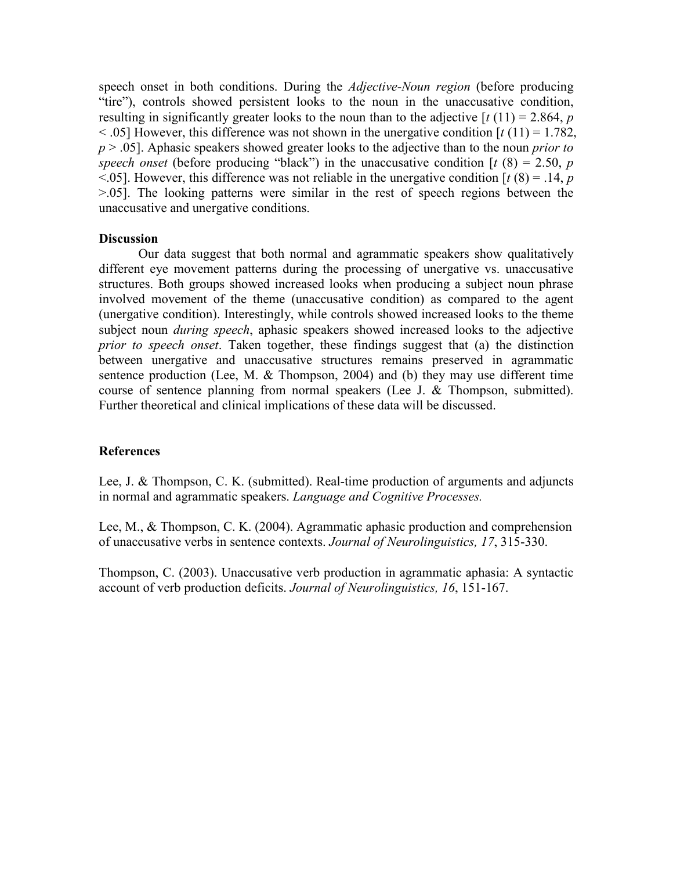speech onset in both conditions. During the *Adjective-Noun region* (before producing "tire"), controls showed persistent looks to the noun in the unaccusative condition, resulting in significantly greater looks to the noun than to the adjective  $\left[\frac{t(11)}{2.864}, \frac{p}{2.864}\right]$  $\leq$  .05] However, this difference was not shown in the unergative condition  $\lceil t(11) = 1.782$ , *p* > .05]. Aphasic speakers showed greater looks to the adjective than to the noun *prior to speech onset* (before producing "black") in the unaccusative condition  $\lceil t (8) = 2.50, p \rceil$  $\leq$ .05]. However, this difference was not reliable in the unergative condition  $\left[ t(8) = .14, p \right]$ >.05]. The looking patterns were similar in the rest of speech regions between the unaccusative and unergative conditions.

### **Discussion**

Our data suggest that both normal and agrammatic speakers show qualitatively different eye movement patterns during the processing of unergative vs. unaccusative structures. Both groups showed increased looks when producing a subject noun phrase involved movement of the theme (unaccusative condition) as compared to the agent (unergative condition). Interestingly, while controls showed increased looks to the theme subject noun *during speech*, aphasic speakers showed increased looks to the adjective *prior to speech onset*. Taken together, these findings suggest that (a) the distinction between unergative and unaccusative structures remains preserved in agrammatic sentence production (Lee, M. & Thompson, 2004) and (b) they may use different time course of sentence planning from normal speakers (Lee J. & Thompson, submitted). Further theoretical and clinical implications of these data will be discussed.

## **References**

Lee, J. & Thompson, C. K. (submitted). Real-time production of arguments and adjuncts in normal and agrammatic speakers. *Language and Cognitive Processes.* 

Lee, M., & Thompson, C. K. (2004). Agrammatic aphasic production and comprehension of unaccusative verbs in sentence contexts. *Journal of Neurolinguistics, 17*, 315-330.

Thompson, C. (2003). Unaccusative verb production in agrammatic aphasia: A syntactic account of verb production deficits. *Journal of Neurolinguistics, 16*, 151-167.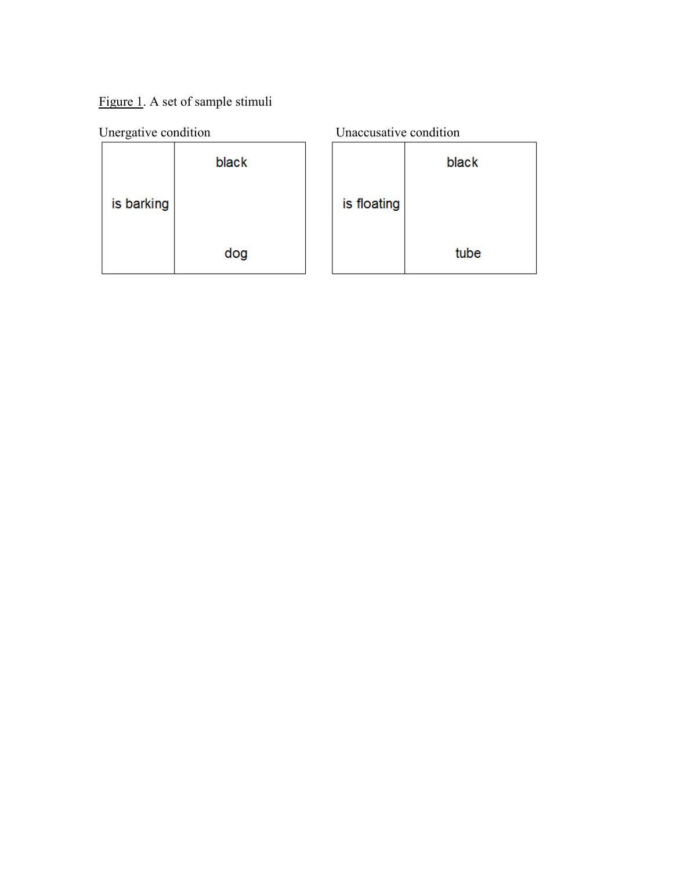Figure 1. A set of sample stimuli

| Unergative condition |       | Unaccusative condition |       |
|----------------------|-------|------------------------|-------|
|                      | black |                        | black |
| is barking           |       | is floating            |       |
|                      | dog   |                        | tube  |